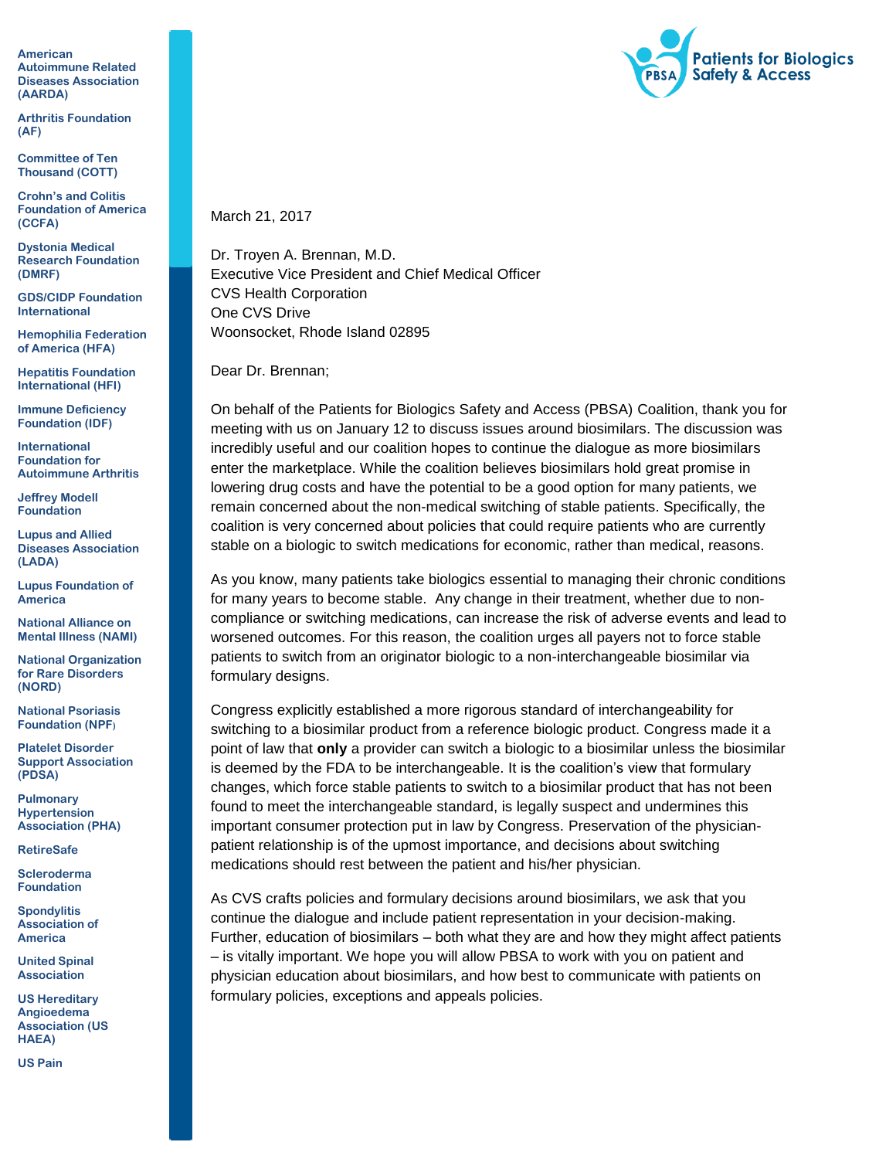**American Autoimmune Related Diseases Association (AARDA)**

**Arthritis Foundation (AF)**

**Committee of Ten Thousand (COTT)**

**Crohn's and Colitis Foundation of America (CCFA)**

**Dystonia Medical Research Foundation (DMRF)**

**GDS/CIDP Foundation International**

**Hemophilia Federation of America (HFA)**

**Hepatitis Foundation International (HFI)**

**Immune Deficiency Foundation (IDF)**

**International Foundation for Autoimmune Arthritis** 

**Jeffrey Modell Foundation**

**Lupus and Allied Diseases Association (LADA)**

**Lupus Foundation of America** 

**National Alliance on Mental Illness (NAMI)**

**National Organization for Rare Disorders (NORD)**

**National Psoriasis Foundation (NPF)**

**Platelet Disorder Support Association (PDSA)**

**Pulmonary Hypertension Association (PHA)**

**RetireSafe**

**Scleroderma Foundation**

**Spondylitis Association of America** 

**United Spinal Association**

**US Hereditary Angioedema Association (US HAEA)**

**US Pain**



March 21, 2017

Dr. Troyen A. Brennan, M.D. Executive Vice President and Chief Medical Officer CVS Health Corporation One CVS Drive Woonsocket, Rhode Island 02895

Dear Dr. Brennan;

On behalf of the Patients for Biologics Safety and Access (PBSA) Coalition, thank you for meeting with us on January 12 to discuss issues around biosimilars. The discussion was incredibly useful and our coalition hopes to continue the dialogue as more biosimilars enter the marketplace. While the coalition believes biosimilars hold great promise in lowering drug costs and have the potential to be a good option for many patients, we remain concerned about the non-medical switching of stable patients. Specifically, the coalition is very concerned about policies that could require patients who are currently stable on a biologic to switch medications for economic, rather than medical, reasons.

As you know, many patients take biologics essential to managing their chronic conditions for many years to become stable. Any change in their treatment, whether due to noncompliance or switching medications, can increase the risk of adverse events and lead to worsened outcomes. For this reason, the coalition urges all payers not to force stable patients to switch from an originator biologic to a non-interchangeable biosimilar via formulary designs.

Congress explicitly established a more rigorous standard of interchangeability for switching to a biosimilar product from a reference biologic product. Congress made it a point of law that **only** a provider can switch a biologic to a biosimilar unless the biosimilar is deemed by the FDA to be interchangeable. It is the coalition's view that formulary changes, which force stable patients to switch to a biosimilar product that has not been found to meet the interchangeable standard, is legally suspect and undermines this important consumer protection put in law by Congress. Preservation of the physicianpatient relationship is of the upmost importance, and decisions about switching medications should rest between the patient and his/her physician.

As CVS crafts policies and formulary decisions around biosimilars, we ask that you continue the dialogue and include patient representation in your decision-making. Further, education of biosimilars – both what they are and how they might affect patients – is vitally important. We hope you will allow PBSA to work with you on patient and physician education about biosimilars, and how best to communicate with patients on formulary policies, exceptions and appeals policies.